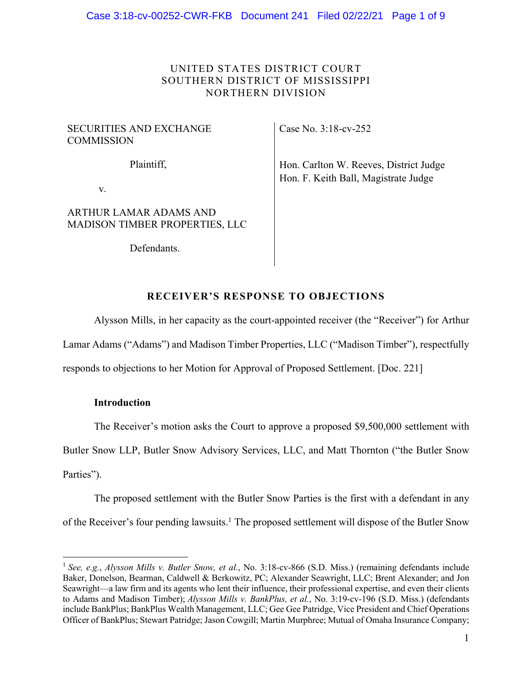## UNITED STATES DISTRICT COURT SOUTHERN DISTRICT OF MISSISSIPPI NORTHERN DIVISION

### SECURITIES AND EXCHANGE COMMISSION

Plaintiff,

Case No. 3:18-cv-252

Hon. Carlton W. Reeves, District Judge Hon. F. Keith Ball, Magistrate Judge

v.

# ARTHUR LAMAR ADAMS AND MADISON TIMBER PROPERTIES, LLC

Defendants.

# **RECEIVER'S RESPONSE TO OBJECTIONS**

Alysson Mills, in her capacity as the court-appointed receiver (the "Receiver") for Arthur Lamar Adams ("Adams") and Madison Timber Properties, LLC ("Madison Timber"), respectfully responds to objections to her Motion for Approval of Proposed Settlement. [Doc. 221]

## **Introduction**

The Receiver's motion asks the Court to approve a proposed \$9,500,000 settlement with

Butler Snow LLP, Butler Snow Advisory Services, LLC, and Matt Thornton ("the Butler Snow Parties").

The proposed settlement with the Butler Snow Parties is the first with a defendant in any of the Receiver's four pending lawsuits.<sup>1</sup> The proposed settlement will dispose of the Butler Snow

<sup>1</sup> *See, e.g.*, *Alysson Mills v. Butler Snow, et al.*, No. 3:18-cv-866 (S.D. Miss.) (remaining defendants include Baker, Donelson, Bearman, Caldwell & Berkowitz, PC; Alexander Seawright, LLC; Brent Alexander; and Jon Seawright—a law firm and its agents who lent their influence, their professional expertise, and even their clients to Adams and Madison Timber); *Alysson Mills v. BankPlus, et al.*, No. 3:19-cv-196 (S.D. Miss.) (defendants include BankPlus; BankPlus Wealth Management, LLC; Gee Gee Patridge, Vice President and Chief Operations Officer of BankPlus; Stewart Patridge; Jason Cowgill; Martin Murphree; Mutual of Omaha Insurance Company;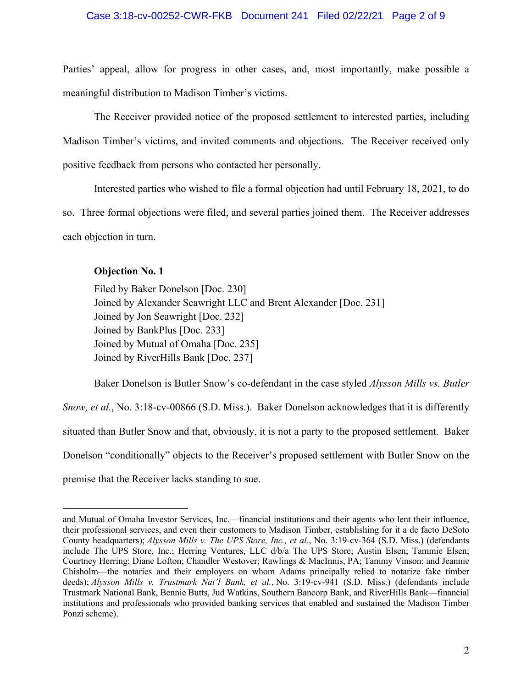Parties' appeal, allow for progress in other cases, and, most importantly, make possible a meaningful distribution to Madison Timber's victims.

The Receiver provided notice of the proposed settlement to interested parties, including Madison Timber's victims, and invited comments and objections. The Receiver received only positive feedback from persons who contacted her personally.

Interested parties who wished to file a formal objection had until February 18, 2021, to do so. Three formal objections were filed, and several parties joined them. The Receiver addresses each objection in turn.

## **Objection No. 1**

Filed by Baker Donelson [Doc. 230] Joined by Alexander Seawright LLC and Brent Alexander [Doc. 231] Joined by Jon Seawright [Doc. 232] Joined by BankPlus [Doc. 233] Joined by Mutual of Omaha [Doc. 235] Joined by RiverHills Bank [Doc. 237]

Baker Donelson is Butler Snow's co-defendant in the case styled *Alysson Mills vs. Butler Snow, et al.*, No. 3:18-cv-00866 (S.D. Miss.). Baker Donelson acknowledges that it is differently situated than Butler Snow and that, obviously, it is not a party to the proposed settlement. Baker Donelson "conditionally" objects to the Receiver's proposed settlement with Butler Snow on the premise that the Receiver lacks standing to sue.

and Mutual of Omaha Investor Services, Inc.—financial institutions and their agents who lent their influence, their professional services, and even their customers to Madison Timber, establishing for it a de facto DeSoto County headquarters); *Alysson Mills v. The UPS Store, Inc., et al.*, No. 3:19-cv-364 (S.D. Miss.) (defendants include The UPS Store, Inc.; Herring Ventures, LLC d/b/a The UPS Store; Austin Elsen; Tammie Elsen; Courtney Herring; Diane Lofton; Chandler Westover; Rawlings & MacInnis, PA; Tammy Vinson; and Jeannie Chisholm—the notaries and their employers on whom Adams principally relied to notarize fake timber deeds); *Alysson Mills v. Trustmark Nat'l Bank, et al.*, No. 3:19-cv-941 (S.D. Miss.) (defendants include Trustmark National Bank, Bennie Butts, Jud Watkins, Southern Bancorp Bank, and RiverHills Bank—financial institutions and professionals who provided banking services that enabled and sustained the Madison Timber Ponzi scheme).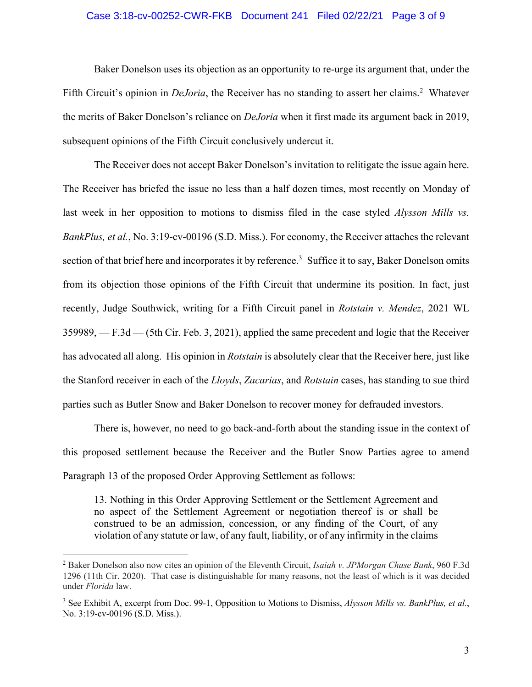### Case 3:18-cv-00252-CWR-FKB Document 241 Filed 02/22/21 Page 3 of 9

Baker Donelson uses its objection as an opportunity to re-urge its argument that, under the Fifth Circuit's opinion in *DeJoria*, the Receiver has no standing to assert her claims.<sup>2</sup> Whatever the merits of Baker Donelson's reliance on *DeJoria* when it first made its argument back in 2019, subsequent opinions of the Fifth Circuit conclusively undercut it.

The Receiver does not accept Baker Donelson's invitation to relitigate the issue again here. The Receiver has briefed the issue no less than a half dozen times, most recently on Monday of last week in her opposition to motions to dismiss filed in the case styled *Alysson Mills vs. BankPlus, et al.*, No. 3:19-cv-00196 (S.D. Miss.). For economy, the Receiver attaches the relevant section of that brief here and incorporates it by reference.<sup>3</sup> Suffice it to say, Baker Donelson omits from its objection those opinions of the Fifth Circuit that undermine its position. In fact, just recently, Judge Southwick, writing for a Fifth Circuit panel in *Rotstain v. Mendez*, 2021 WL 359989, — F.3d — (5th Cir. Feb. 3, 2021), applied the same precedent and logic that the Receiver has advocated all along. His opinion in *Rotstain* is absolutely clear that the Receiver here, just like the Stanford receiver in each of the *Lloyds*, *Zacarias*, and *Rotstain* cases, has standing to sue third parties such as Butler Snow and Baker Donelson to recover money for defrauded investors.

There is, however, no need to go back-and-forth about the standing issue in the context of this proposed settlement because the Receiver and the Butler Snow Parties agree to amend Paragraph 13 of the proposed Order Approving Settlement as follows:

13. Nothing in this Order Approving Settlement or the Settlement Agreement and no aspect of the Settlement Agreement or negotiation thereof is or shall be construed to be an admission, concession, or any finding of the Court, of any violation of any statute or law, of any fault, liability, or of any infirmity in the claims

<sup>2</sup> Baker Donelson also now cites an opinion of the Eleventh Circuit, *Isaiah v. JPMorgan Chase Bank*, 960 F.3d 1296 (11th Cir. 2020). That case is distinguishable for many reasons, not the least of which is it was decided under *Florida* law.

<sup>3</sup> See Exhibit A, excerpt from Doc. 99-1, Opposition to Motions to Dismiss, *Alysson Mills vs. BankPlus, et al.*, No. 3:19-cv-00196 (S.D. Miss.).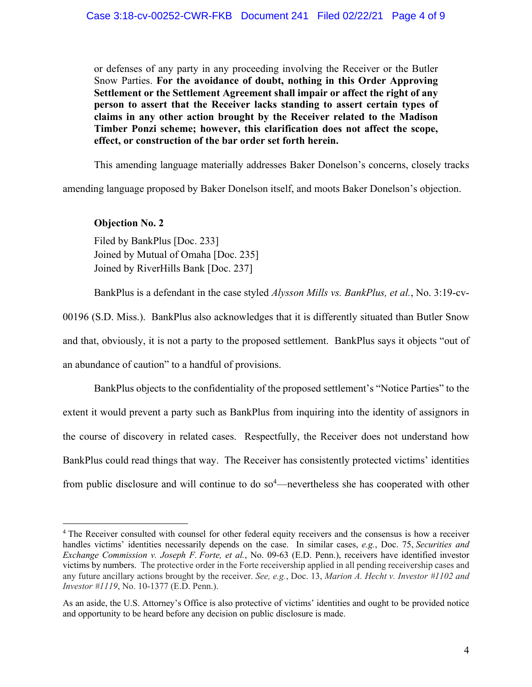or defenses of any party in any proceeding involving the Receiver or the Butler Snow Parties. **For the avoidance of doubt, nothing in this Order Approving Settlement or the Settlement Agreement shall impair or affect the right of any person to assert that the Receiver lacks standing to assert certain types of claims in any other action brought by the Receiver related to the Madison Timber Ponzi scheme; however, this clarification does not affect the scope, effect, or construction of the bar order set forth herein.**

This amending language materially addresses Baker Donelson's concerns, closely tracks

amending language proposed by Baker Donelson itself, and moots Baker Donelson's objection.

### **Objection No. 2**

Filed by BankPlus [Doc. 233] Joined by Mutual of Omaha [Doc. 235] Joined by RiverHills Bank [Doc. 237]

BankPlus is a defendant in the case styled *Alysson Mills vs. BankPlus, et al.*, No. 3:19-cv-

00196 (S.D. Miss.). BankPlus also acknowledges that it is differently situated than Butler Snow and that, obviously, it is not a party to the proposed settlement. BankPlus says it objects "out of an abundance of caution" to a handful of provisions.

BankPlus objects to the confidentiality of the proposed settlement's "Notice Parties" to the extent it would prevent a party such as BankPlus from inquiring into the identity of assignors in the course of discovery in related cases. Respectfully, the Receiver does not understand how BankPlus could read things that way. The Receiver has consistently protected victims' identities from public disclosure and will continue to do so<sup>4</sup>—nevertheless she has cooperated with other

<sup>&</sup>lt;sup>4</sup> The Receiver consulted with counsel for other federal equity receivers and the consensus is how a receiver handles victims' identities necessarily depends on the case. In similar cases, *e.g.*, Doc. 75, *Securities and Exchange Commission v. Joseph F. Forte, et al.*, No. 09-63 (E.D. Penn.), receivers have identified investor victims by numbers. The protective order in the Forte receivership applied in all pending receivership cases and any future ancillary actions brought by the receiver. *See, e.g.*, Doc. 13, *Marion A. Hecht v. Investor #1102 and Investor #1119*, No. 10-1377 (E.D. Penn.).

As an aside, the U.S. Attorney's Office is also protective of victims' identities and ought to be provided notice and opportunity to be heard before any decision on public disclosure is made.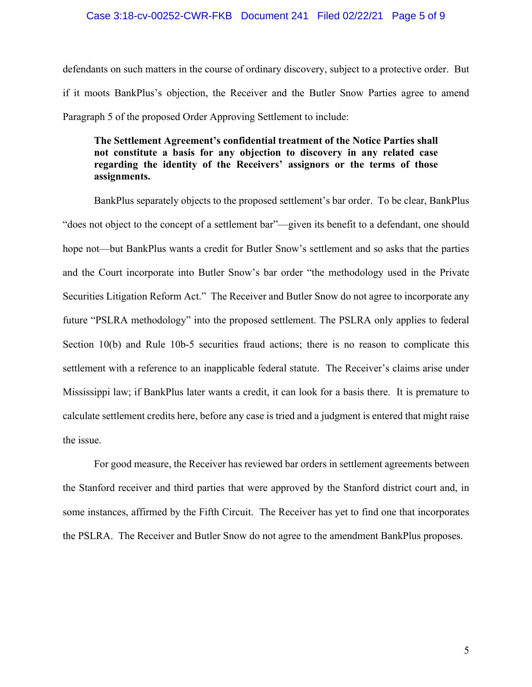defendants on such matters in the course of ordinary discovery, subject to a protective order. But if it moots BankPlus's objection, the Receiver and the Butler Snow Parties agree to amend Paragraph 5 of the proposed Order Approving Settlement to include:

## **The Settlement Agreement's confidential treatment of the Notice Parties shall not constitute a basis for any objection to discovery in any related case regarding the identity of the Receivers' assignors or the terms of those assignments.**

BankPlus separately objects to the proposed settlement's bar order. To be clear, BankPlus "does not object to the concept of a settlement bar"—given its benefit to a defendant, one should hope not—but BankPlus wants a credit for Butler Snow's settlement and so asks that the parties and the Court incorporate into Butler Snow's bar order "the methodology used in the Private Securities Litigation Reform Act." The Receiver and Butler Snow do not agree to incorporate any future "PSLRA methodology" into the proposed settlement. The PSLRA only applies to federal Section 10(b) and Rule 10b-5 securities fraud actions; there is no reason to complicate this settlement with a reference to an inapplicable federal statute. The Receiver's claims arise under Mississippi law; if BankPlus later wants a credit, it can look for a basis there. It is premature to calculate settlement credits here, before any case is tried and a judgment is entered that might raise the issue.

For good measure, the Receiver has reviewed bar orders in settlement agreements between the Stanford receiver and third parties that were approved by the Stanford district court and, in some instances, affirmed by the Fifth Circuit. The Receiver has yet to find one that incorporates the PSLRA. The Receiver and Butler Snow do not agree to the amendment BankPlus proposes.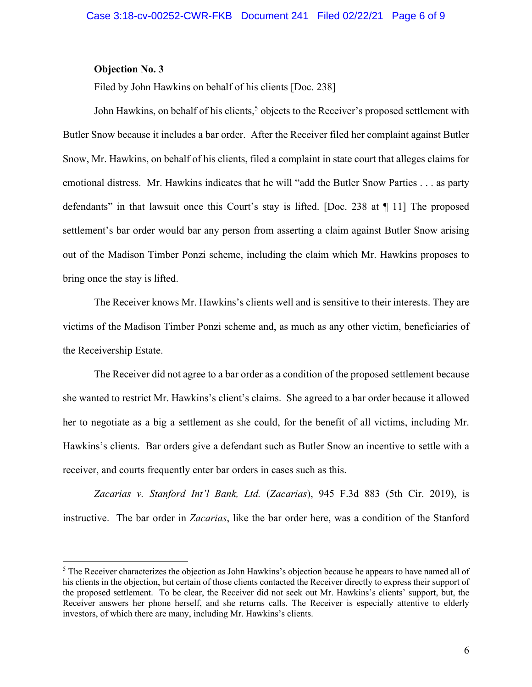### **Objection No. 3**

Filed by John Hawkins on behalf of his clients [Doc. 238]

John Hawkins, on behalf of his clients,<sup>5</sup> objects to the Receiver's proposed settlement with Butler Snow because it includes a bar order. After the Receiver filed her complaint against Butler Snow, Mr. Hawkins, on behalf of his clients, filed a complaint in state court that alleges claims for emotional distress. Mr. Hawkins indicates that he will "add the Butler Snow Parties . . . as party defendants" in that lawsuit once this Court's stay is lifted. [Doc. 238 at ¶ 11] The proposed settlement's bar order would bar any person from asserting a claim against Butler Snow arising out of the Madison Timber Ponzi scheme, including the claim which Mr. Hawkins proposes to bring once the stay is lifted.

The Receiver knows Mr. Hawkins's clients well and is sensitive to their interests. They are victims of the Madison Timber Ponzi scheme and, as much as any other victim, beneficiaries of the Receivership Estate.

The Receiver did not agree to a bar order as a condition of the proposed settlement because she wanted to restrict Mr. Hawkins's client's claims. She agreed to a bar order because it allowed her to negotiate as a big a settlement as she could, for the benefit of all victims, including Mr. Hawkins's clients. Bar orders give a defendant such as Butler Snow an incentive to settle with a receiver, and courts frequently enter bar orders in cases such as this.

*Zacarias v. Stanford Int'l Bank, Ltd.* (*Zacarias*), 945 F.3d 883 (5th Cir. 2019), is instructive. The bar order in *Zacarias*, like the bar order here, was a condition of the Stanford

<sup>5</sup> The Receiver characterizes the objection as John Hawkins's objection because he appears to have named all of his clients in the objection, but certain of those clients contacted the Receiver directly to express their support of the proposed settlement. To be clear, the Receiver did not seek out Mr. Hawkins's clients' support, but, the Receiver answers her phone herself, and she returns calls. The Receiver is especially attentive to elderly investors, of which there are many, including Mr. Hawkins's clients.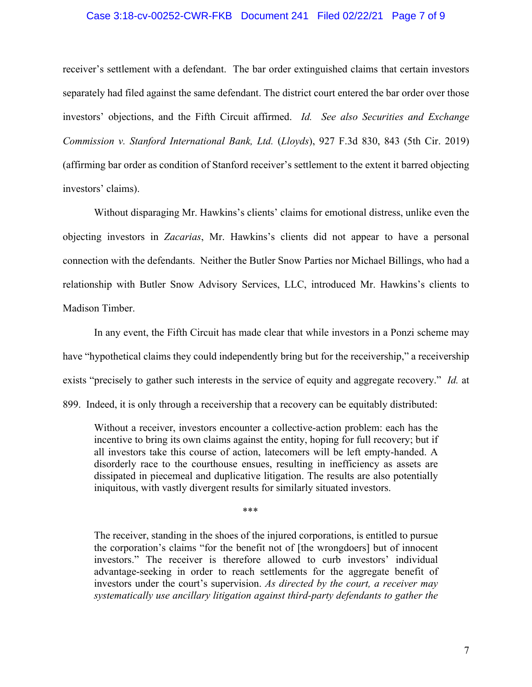#### Case 3:18-cv-00252-CWR-FKB Document 241 Filed 02/22/21 Page 7 of 9

receiver's settlement with a defendant. The bar order extinguished claims that certain investors separately had filed against the same defendant. The district court entered the bar order over those investors' objections, and the Fifth Circuit affirmed. *Id. See also Securities and Exchange Commission v. Stanford International Bank, Ltd.* (*Lloyds*), 927 F.3d 830, 843 (5th Cir. 2019) (affirming bar order as condition of Stanford receiver's settlement to the extent it barred objecting investors' claims).

Without disparaging Mr. Hawkins's clients' claims for emotional distress, unlike even the objecting investors in *Zacarias*, Mr. Hawkins's clients did not appear to have a personal connection with the defendants. Neither the Butler Snow Parties nor Michael Billings, who had a relationship with Butler Snow Advisory Services, LLC, introduced Mr. Hawkins's clients to Madison Timber.

In any event, the Fifth Circuit has made clear that while investors in a Ponzi scheme may have "hypothetical claims they could independently bring but for the receivership," a receivership exists "precisely to gather such interests in the service of equity and aggregate recovery." *Id.* at 899. Indeed, it is only through a receivership that a recovery can be equitably distributed:

Without a receiver, investors encounter a collective-action problem: each has the incentive to bring its own claims against the entity, hoping for full recovery; but if all investors take this course of action, latecomers will be left empty-handed. A disorderly race to the courthouse ensues, resulting in inefficiency as assets are dissipated in piecemeal and duplicative litigation. The results are also potentially iniquitous, with vastly divergent results for similarly situated investors.

\*\*\*

The receiver, standing in the shoes of the injured corporations, is entitled to pursue the corporation's claims "for the benefit not of [the wrongdoers] but of innocent investors." The receiver is therefore allowed to curb investors' individual advantage-seeking in order to reach settlements for the aggregate benefit of investors under the court's supervision. *As directed by the court, a receiver may systematically use ancillary litigation against third-party defendants to gather the*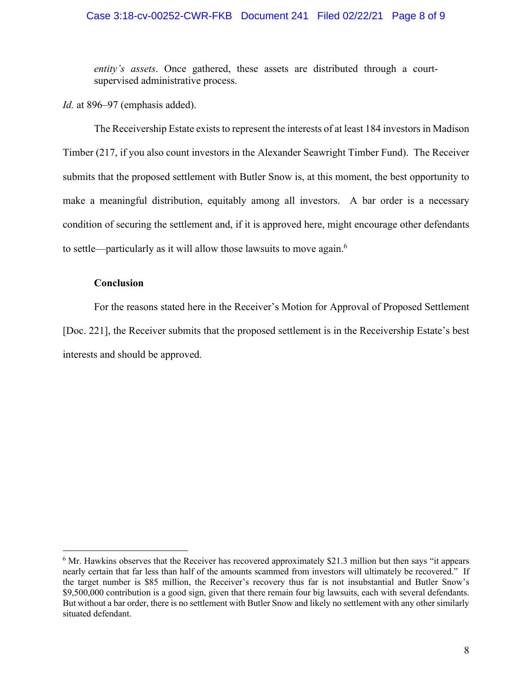### Case 3:18-cv-00252-CWR-FKB Document 241 Filed 02/22/21 Page 8 of 9

*entity's assets*. Once gathered, these assets are distributed through a courtsupervised administrative process.

*Id.* at 896–97 (emphasis added).

The Receivership Estate exists to represent the interests of at least 184 investors in Madison Timber (217, if you also count investors in the Alexander Seawright Timber Fund). The Receiver submits that the proposed settlement with Butler Snow is, at this moment, the best opportunity to make a meaningful distribution, equitably among all investors. A bar order is a necessary condition of securing the settlement and, if it is approved here, might encourage other defendants to settle—particularly as it will allow those lawsuits to move again.<sup>6</sup>

## **Conclusion**

For the reasons stated here in the Receiver's Motion for Approval of Proposed Settlement [Doc. 221], the Receiver submits that the proposed settlement is in the Receivership Estate's best interests and should be approved.

<sup>&</sup>lt;sup>6</sup> Mr. Hawkins observes that the Receiver has recovered approximately \$21.3 million but then says "it appears" nearly certain that far less than half of the amounts scammed from investors will ultimately be recovered." If the target number is \$85 million, the Receiver's recovery thus far is not insubstantial and Butler Snow's \$9,500,000 contribution is a good sign, given that there remain four big lawsuits, each with several defendants. But without a bar order, there is no settlement with Butler Snow and likely no settlement with any other similarly situated defendant.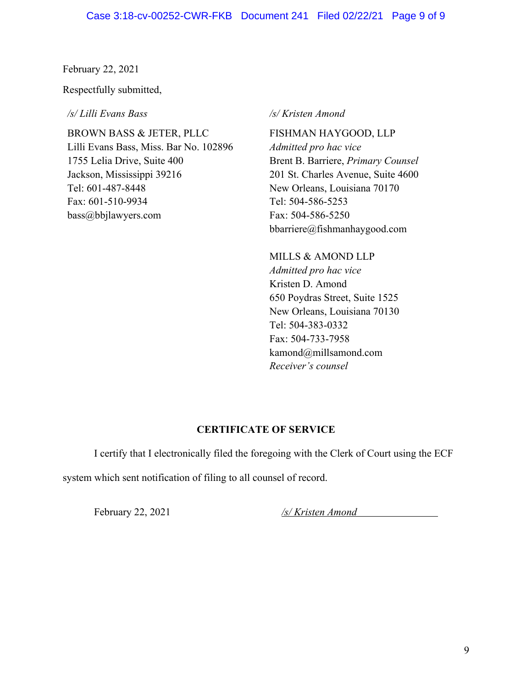February 22, 2021

Respectfully submitted,

*/s/ Lilli Evans Bass*

BROWN BASS & JETER, PLLC Lilli Evans Bass, Miss. Bar No. 102896 1755 Lelia Drive, Suite 400 Jackson, Mississippi 39216 Tel: 601-487-8448 Fax: 601-510-9934 bass@bbjlawyers.com

*/s/ Kristen Amond*

FISHMAN HAYGOOD, LLP *Admitted pro hac vice*  Brent B. Barriere, *Primary Counsel* 201 St. Charles Avenue, Suite 4600 New Orleans, Louisiana 70170 Tel: 504-586-5253 Fax: 504-586-5250 bbarriere@fishmanhaygood.com

MILLS & AMOND LLP *Admitted pro hac vice* Kristen D. Amond 650 Poydras Street, Suite 1525 New Orleans, Louisiana 70130 Tel: 504-383-0332 Fax: 504-733-7958 kamond@millsamond.com *Receiver's counsel*

# **CERTIFICATE OF SERVICE**

I certify that I electronically filed the foregoing with the Clerk of Court using the ECF

system which sent notification of filing to all counsel of record.

February 22, 2021 */s/ Kristen Amond*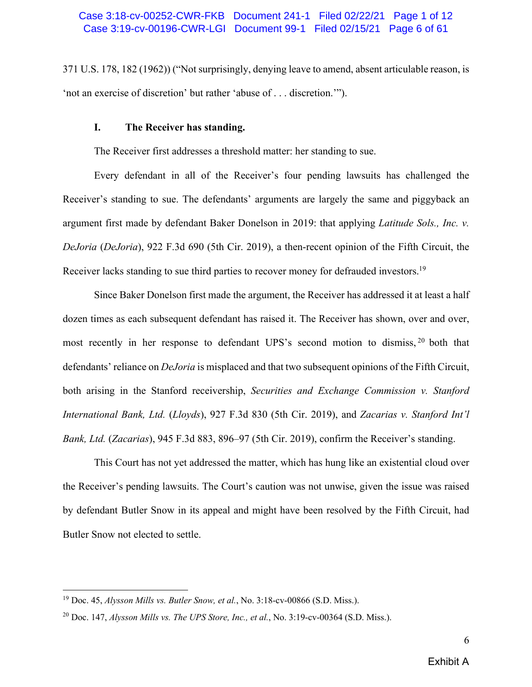371 U.S. 178, 182 (1962)) ("Not surprisingly, denying leave to amend, absent articulable reason, is 'not an exercise of discretion' but rather 'abuse of . . . discretion.'").

## **I. The Receiver has standing.**

The Receiver first addresses a threshold matter: her standing to sue.

Every defendant in all of the Receiver's four pending lawsuits has challenged the Receiver's standing to sue. The defendants' arguments are largely the same and piggyback an argument first made by defendant Baker Donelson in 2019: that applying *Latitude Sols., Inc. v. DeJoria* (*DeJoria*), 922 F.3d 690 (5th Cir. 2019), a then-recent opinion of the Fifth Circuit, the Receiver lacks standing to sue third parties to recover money for defrauded investors.<sup>19</sup>

Since Baker Donelson first made the argument, the Receiver has addressed it at least a half dozen times as each subsequent defendant has raised it. The Receiver has shown, over and over, most recently in her response to defendant UPS's second motion to dismiss, <sup>20</sup> both that defendants' reliance on *DeJoria* is misplaced and that two subsequent opinions of the Fifth Circuit, both arising in the Stanford receivership, *Securities and Exchange Commission v. Stanford International Bank, Ltd.* (*Lloyds*), 927 F.3d 830 (5th Cir. 2019), and *Zacarias v. Stanford Int'l Bank, Ltd.* (*Zacarias*), 945 F.3d 883, 896–97 (5th Cir. 2019), confirm the Receiver's standing.

This Court has not yet addressed the matter, which has hung like an existential cloud over the Receiver's pending lawsuits. The Court's caution was not unwise, given the issue was raised by defendant Butler Snow in its appeal and might have been resolved by the Fifth Circuit, had Butler Snow not elected to settle.

<sup>19</sup> Doc. 45, *Alysson Mills vs. Butler Snow, et al.*, No. 3:18-cv-00866 (S.D. Miss.).

<sup>20</sup> Doc. 147, *Alysson Mills vs. The UPS Store, Inc., et al.*, No. 3:19-cv-00364 (S.D. Miss.).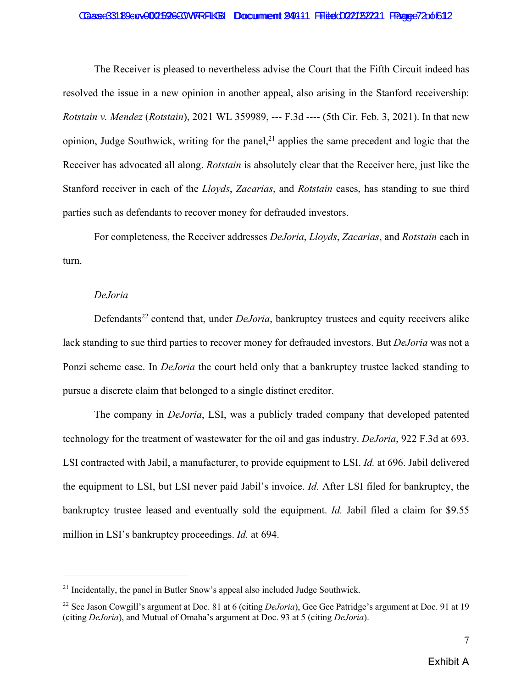#### Case33189evv002596COVFRFLKB Document 949111 Ffiled022132221 FRage 72001612

The Receiver is pleased to nevertheless advise the Court that the Fifth Circuit indeed has resolved the issue in a new opinion in another appeal, also arising in the Stanford receivership: *Rotstain v. Mendez* (*Rotstain*), 2021 WL 359989, --- F.3d ---- (5th Cir. Feb. 3, 2021). In that new opinion, Judge Southwick, writing for the panel, $^{21}$  applies the same precedent and logic that the Receiver has advocated all along. *Rotstain* is absolutely clear that the Receiver here, just like the Stanford receiver in each of the *Lloyds*, *Zacarias*, and *Rotstain* cases, has standing to sue third parties such as defendants to recover money for defrauded investors.

For completeness, the Receiver addresses *DeJoria*, *Lloyds*, *Zacarias*, and *Rotstain* each in turn.

### *DeJoria*

Defendants<sup>22</sup> contend that, under *DeJoria*, bankruptcy trustees and equity receivers alike lack standing to sue third parties to recover money for defrauded investors. But *DeJoria* was not a Ponzi scheme case. In *DeJoria* the court held only that a bankruptcy trustee lacked standing to pursue a discrete claim that belonged to a single distinct creditor.

The company in *DeJoria*, LSI, was a publicly traded company that developed patented technology for the treatment of wastewater for the oil and gas industry. *DeJoria*, 922 F.3d at 693. LSI contracted with Jabil, a manufacturer, to provide equipment to LSI. *Id.* at 696. Jabil delivered the equipment to LSI, but LSI never paid Jabil's invoice. *Id.* After LSI filed for bankruptcy, the bankruptcy trustee leased and eventually sold the equipment. *Id.* Jabil filed a claim for \$9.55 million in LSI's bankruptcy proceedings. *Id.* at 694.

 $21$  Incidentally, the panel in Butler Snow's appeal also included Judge Southwick.

<sup>22</sup> See Jason Cowgill's argument at Doc. 81 at 6 (citing *DeJoria*), Gee Gee Patridge's argument at Doc. 91 at 19 (citing *DeJoria*), and Mutual of Omaha's argument at Doc. 93 at 5 (citing *DeJoria*).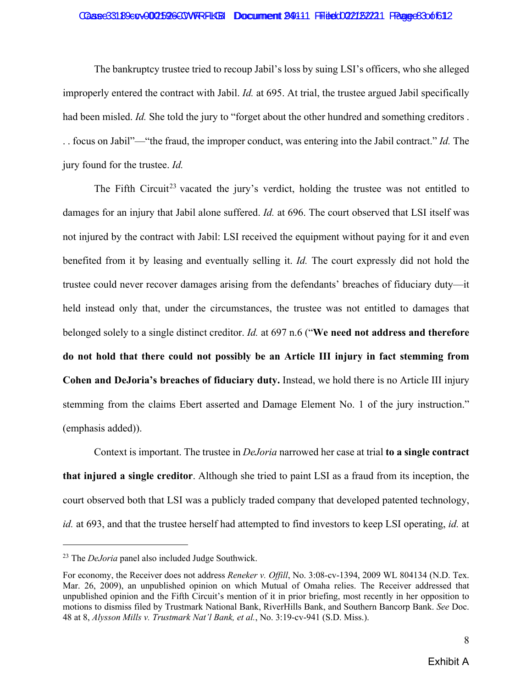#### Case33189evv002526COVFRFLKB Document 24111 Ffiled022132221 FRage83001612

The bankruptcy trustee tried to recoup Jabil's loss by suing LSI's officers, who she alleged improperly entered the contract with Jabil. *Id.* at 695. At trial, the trustee argued Jabil specifically had been misled. *Id.* She told the jury to "forget about the other hundred and something creditors . . . focus on Jabil"—"the fraud, the improper conduct, was entering into the Jabil contract." *Id.* The jury found for the trustee. *Id.*

The Fifth Circuit<sup>23</sup> vacated the jury's verdict, holding the trustee was not entitled to damages for an injury that Jabil alone suffered. *Id.* at 696. The court observed that LSI itself was not injured by the contract with Jabil: LSI received the equipment without paying for it and even benefited from it by leasing and eventually selling it. *Id.* The court expressly did not hold the trustee could never recover damages arising from the defendants' breaches of fiduciary duty—it held instead only that, under the circumstances, the trustee was not entitled to damages that belonged solely to a single distinct creditor. *Id.* at 697 n.6 ("**We need not address and therefore do not hold that there could not possibly be an Article III injury in fact stemming from Cohen and DeJoria's breaches of fiduciary duty.** Instead, we hold there is no Article III injury stemming from the claims Ebert asserted and Damage Element No. 1 of the jury instruction." (emphasis added)).

Context is important. The trustee in *DeJoria* narrowed her case at trial **to a single contract that injured a single creditor**. Although she tried to paint LSI as a fraud from its inception, the court observed both that LSI was a publicly traded company that developed patented technology, *id.* at 693, and that the trustee herself had attempted to find investors to keep LSI operating, *id.* at

<sup>23</sup> The *DeJoria* panel also included Judge Southwick.

For economy, the Receiver does not address *Reneker v. Offill*, No. 3:08-cv-1394, 2009 WL 804134 (N.D. Tex. Mar. 26, 2009), an unpublished opinion on which Mutual of Omaha relies. The Receiver addressed that unpublished opinion and the Fifth Circuit's mention of it in prior briefing, most recently in her opposition to motions to dismiss filed by Trustmark National Bank, RiverHills Bank, and Southern Bancorp Bank. *See* Doc. 48 at 8, *Alysson Mills v. Trustmark Nat'l Bank, et al.*, No. 3:19-cv-941 (S.D. Miss.).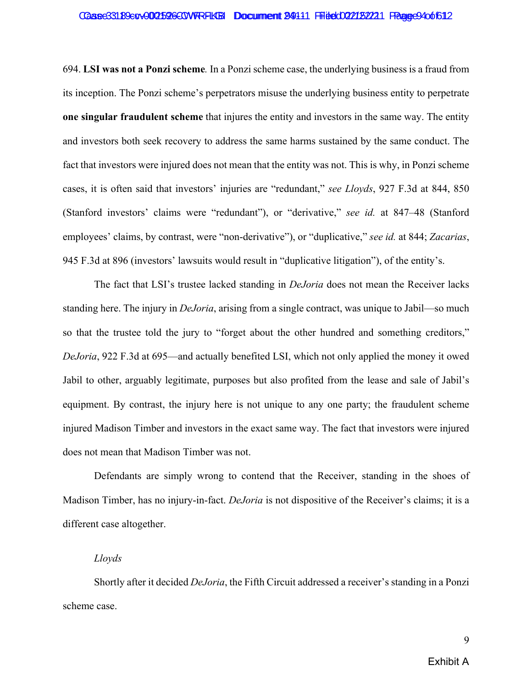#### Case33189evv002526COVFRFLKB Document 24111 Ffiled022132221 FRagee94of612

694. **LSI was not a Ponzi scheme***.* In a Ponzi scheme case, the underlying business is a fraud from its inception. The Ponzi scheme's perpetrators misuse the underlying business entity to perpetrate **one singular fraudulent scheme** that injures the entity and investors in the same way. The entity and investors both seek recovery to address the same harms sustained by the same conduct. The fact that investors were injured does not mean that the entity was not. This is why, in Ponzi scheme cases, it is often said that investors' injuries are "redundant," *see Lloyds*, 927 F.3d at 844, 850 (Stanford investors' claims were "redundant"), or "derivative," *see id.* at 847–48 (Stanford employees' claims, by contrast, were "non-derivative"), or "duplicative," *see id.* at 844; *Zacarias*, 945 F.3d at 896 (investors' lawsuits would result in "duplicative litigation"), of the entity's.

The fact that LSI's trustee lacked standing in *DeJoria* does not mean the Receiver lacks standing here. The injury in *DeJoria*, arising from a single contract, was unique to Jabil—so much so that the trustee told the jury to "forget about the other hundred and something creditors," *DeJoria*, 922 F.3d at 695—and actually benefited LSI, which not only applied the money it owed Jabil to other, arguably legitimate, purposes but also profited from the lease and sale of Jabil's equipment. By contrast, the injury here is not unique to any one party; the fraudulent scheme injured Madison Timber and investors in the exact same way. The fact that investors were injured does not mean that Madison Timber was not.

Defendants are simply wrong to contend that the Receiver, standing in the shoes of Madison Timber, has no injury-in-fact. *DeJoria* is not dispositive of the Receiver's claims; it is a different case altogether.

#### *Lloyds*

Shortly after it decided *DeJoria*, the Fifth Circuit addressed a receiver's standing in a Ponzi scheme case.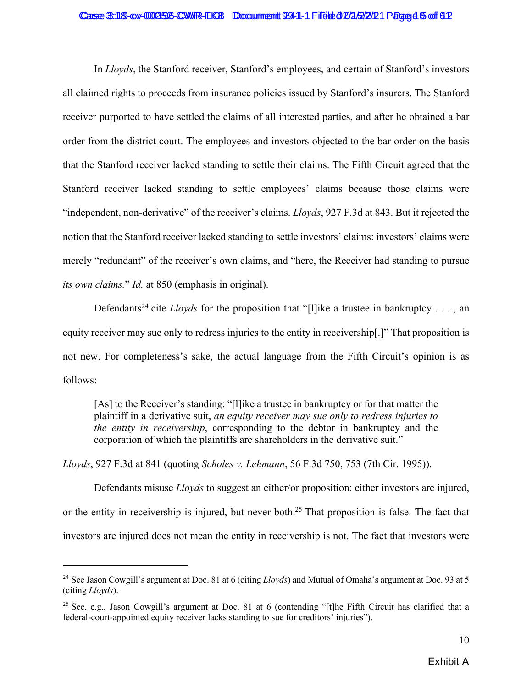#### Case 3:18-cv-002526-CWR-EKB Document 9941-1 File to 02/2/2/21 Page 45 of 612

In *Lloyds*, the Stanford receiver, Stanford's employees, and certain of Stanford's investors all claimed rights to proceeds from insurance policies issued by Stanford's insurers. The Stanford receiver purported to have settled the claims of all interested parties, and after he obtained a bar order from the district court. The employees and investors objected to the bar order on the basis that the Stanford receiver lacked standing to settle their claims. The Fifth Circuit agreed that the Stanford receiver lacked standing to settle employees' claims because those claims were "independent, non-derivative" of the receiver's claims. *Lloyds*, 927 F.3d at 843. But it rejected the notion that the Stanford receiver lacked standing to settle investors' claims: investors' claims were merely "redundant" of the receiver's own claims, and "here, the Receiver had standing to pursue *its own claims.*" *Id.* at 850 (emphasis in original).

Defendants<sup>24</sup> cite *Lloyds* for the proposition that "[l]ike a trustee in bankruptcy . . . , an equity receiver may sue only to redress injuries to the entity in receivership[.]" That proposition is not new. For completeness's sake, the actual language from the Fifth Circuit's opinion is as follows:

[As] to the Receiver's standing: "[l]ike a trustee in bankruptcy or for that matter the plaintiff in a derivative suit, *an equity receiver may sue only to redress injuries to the entity in receivership*, corresponding to the debtor in bankruptcy and the corporation of which the plaintiffs are shareholders in the derivative suit."

*Lloyds*, 927 F.3d at 841 (quoting *Scholes v. Lehmann*, 56 F.3d 750, 753 (7th Cir. 1995)).

Defendants misuse *Lloyds* to suggest an either/or proposition: either investors are injured, or the entity in receivership is injured, but never both.<sup>25</sup> That proposition is false. The fact that investors are injured does not mean the entity in receivership is not. The fact that investors were

<sup>24</sup> See Jason Cowgill's argument at Doc. 81 at 6 (citing *Lloyds*) and Mutual of Omaha's argument at Doc. 93 at 5 (citing *Lloyds*).

<sup>&</sup>lt;sup>25</sup> See, e.g., Jason Cowgill's argument at Doc. 81 at 6 (contending "[t]he Fifth Circuit has clarified that a federal-court-appointed equity receiver lacks standing to sue for creditors' injuries").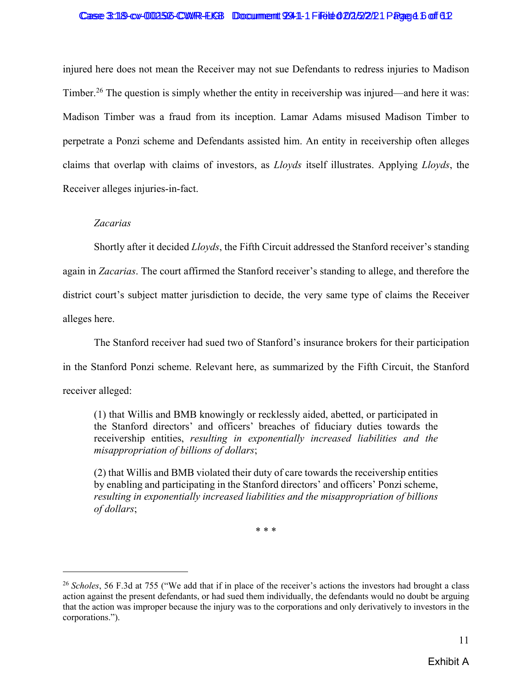#### Case 3:18-cv-002526-CWR-EKB Document 9941-1 File to 02/2/2/21 Page 4 6 of 612

injured here does not mean the Receiver may not sue Defendants to redress injuries to Madison Timber.<sup>26</sup> The question is simply whether the entity in receivership was injured—and here it was: Madison Timber was a fraud from its inception. Lamar Adams misused Madison Timber to perpetrate a Ponzi scheme and Defendants assisted him. An entity in receivership often alleges claims that overlap with claims of investors, as *Lloyds* itself illustrates. Applying *Lloyds*, the Receiver alleges injuries-in-fact.

### *Zacarias*

Shortly after it decided *Lloyds*, the Fifth Circuit addressed the Stanford receiver's standing again in *Zacarias*. The court affirmed the Stanford receiver's standing to allege, and therefore the district court's subject matter jurisdiction to decide, the very same type of claims the Receiver alleges here.

The Stanford receiver had sued two of Stanford's insurance brokers for their participation in the Stanford Ponzi scheme. Relevant here, as summarized by the Fifth Circuit, the Stanford receiver alleged:

(1) that Willis and BMB knowingly or recklessly aided, abetted, or participated in the Stanford directors' and officers' breaches of fiduciary duties towards the receivership entities, *resulting in exponentially increased liabilities and the misappropriation of billions of dollars*;

(2) that Willis and BMB violated their duty of care towards the receivership entities by enabling and participating in the Stanford directors' and officers' Ponzi scheme, *resulting in exponentially increased liabilities and the misappropriation of billions of dollars*;

\* \* \*

<sup>&</sup>lt;sup>26</sup> *Scholes*, 56 F.3d at 755 ("We add that if in place of the receiver's actions the investors had brought a class action against the present defendants, or had sued them individually, the defendants would no doubt be arguing that the action was improper because the injury was to the corporations and only derivatively to investors in the corporations.").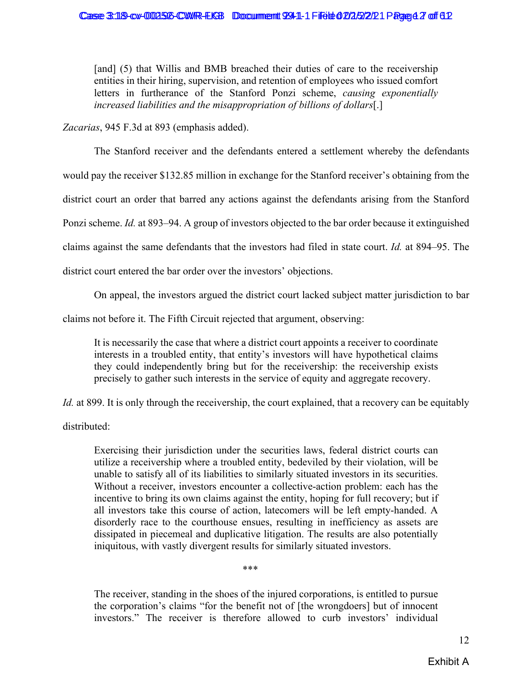[and] (5) that Willis and BMB breached their duties of care to the receivership entities in their hiring, supervision, and retention of employees who issued comfort letters in furtherance of the Stanford Ponzi scheme, *causing exponentially increased liabilities and the misappropriation of billions of dollars*[.]

*Zacarias*, 945 F.3d at 893 (emphasis added).

The Stanford receiver and the defendants entered a settlement whereby the defendants would pay the receiver \$132.85 million in exchange for the Stanford receiver's obtaining from the district court an order that barred any actions against the defendants arising from the Stanford Ponzi scheme. *Id.* at 893–94. A group of investors objected to the bar order because it extinguished claims against the same defendants that the investors had filed in state court. *Id.* at 894–95. The district court entered the bar order over the investors' objections.

On appeal, the investors argued the district court lacked subject matter jurisdiction to bar

claims not before it. The Fifth Circuit rejected that argument, observing:

It is necessarily the case that where a district court appoints a receiver to coordinate interests in a troubled entity, that entity's investors will have hypothetical claims they could independently bring but for the receivership: the receivership exists precisely to gather such interests in the service of equity and aggregate recovery.

*Id.* at 899. It is only through the receivership, the court explained, that a recovery can be equitably

distributed:

Exercising their jurisdiction under the securities laws, federal district courts can utilize a receivership where a troubled entity, bedeviled by their violation, will be unable to satisfy all of its liabilities to similarly situated investors in its securities. Without a receiver, investors encounter a collective-action problem: each has the incentive to bring its own claims against the entity, hoping for full recovery; but if all investors take this course of action, latecomers will be left empty-handed. A disorderly race to the courthouse ensues, resulting in inefficiency as assets are dissipated in piecemeal and duplicative litigation. The results are also potentially iniquitous, with vastly divergent results for similarly situated investors.

\*\*\*

The receiver, standing in the shoes of the injured corporations, is entitled to pursue the corporation's claims "for the benefit not of [the wrongdoers] but of innocent investors." The receiver is therefore allowed to curb investors' individual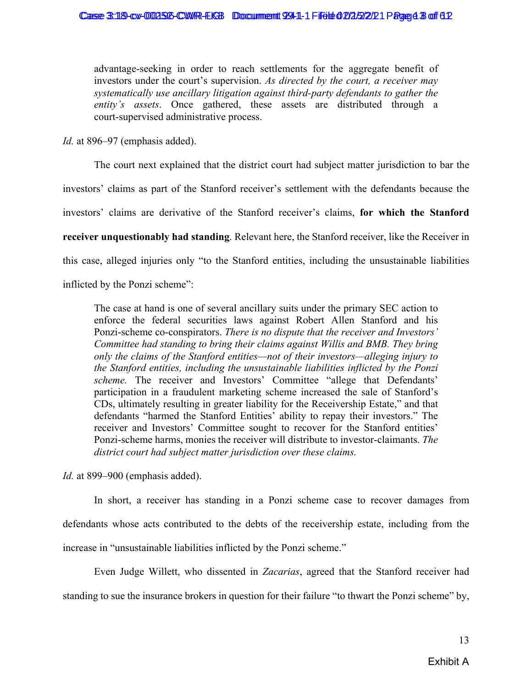advantage-seeking in order to reach settlements for the aggregate benefit of investors under the court's supervision. *As directed by the court, a receiver may systematically use ancillary litigation against third-party defendants to gather the entity's assets*. Once gathered, these assets are distributed through a court-supervised administrative process.

*Id.* at 896–97 (emphasis added).

The court next explained that the district court had subject matter jurisdiction to bar the

investors' claims as part of the Stanford receiver's settlement with the defendants because the

investors' claims are derivative of the Stanford receiver's claims, **for which the Stanford** 

**receiver unquestionably had standing**. Relevant here, the Stanford receiver, like the Receiver in

this case, alleged injuries only "to the Stanford entities, including the unsustainable liabilities

inflicted by the Ponzi scheme":

The case at hand is one of several ancillary suits under the primary SEC action to enforce the federal securities laws against Robert Allen Stanford and his Ponzi-scheme co-conspirators. *There is no dispute that the receiver and Investors' Committee had standing to bring their claims against Willis and BMB. They bring only the claims of the Stanford entities—not of their investors—alleging injury to the Stanford entities, including the unsustainable liabilities inflicted by the Ponzi scheme.* The receiver and Investors' Committee "allege that Defendants' participation in a fraudulent marketing scheme increased the sale of Stanford's CDs, ultimately resulting in greater liability for the Receivership Estate," and that defendants "harmed the Stanford Entities' ability to repay their investors." The receiver and Investors' Committee sought to recover for the Stanford entities' Ponzi-scheme harms, monies the receiver will distribute to investor-claimants. *The district court had subject matter jurisdiction over these claims.*

*Id.* at 899–900 (emphasis added).

In short, a receiver has standing in a Ponzi scheme case to recover damages from defendants whose acts contributed to the debts of the receivership estate, including from the increase in "unsustainable liabilities inflicted by the Ponzi scheme."

Even Judge Willett, who dissented in *Zacarias*, agreed that the Stanford receiver had standing to sue the insurance brokers in question for their failure "to thwart the Ponzi scheme" by,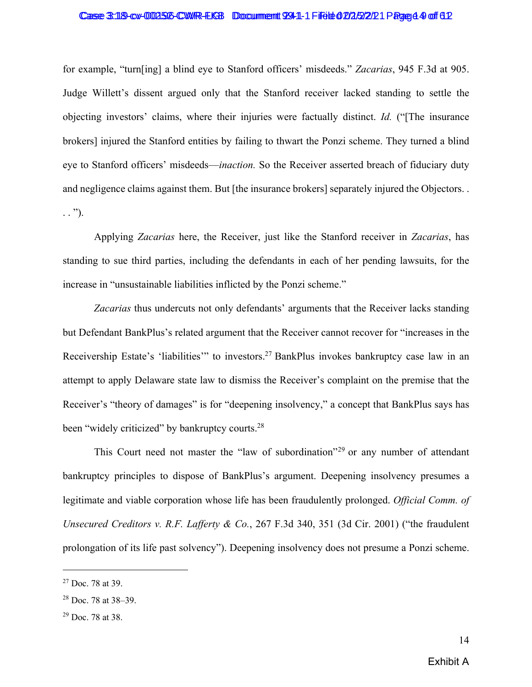#### Case 3:18-cv-002526-CWR-EKB Document 9941-1 File to 2/2/2/2/21 Page 44 of 612

for example, "turn[ing] a blind eye to Stanford officers' misdeeds." *Zacarias*, 945 F.3d at 905. Judge Willett's dissent argued only that the Stanford receiver lacked standing to settle the objecting investors' claims, where their injuries were factually distinct. *Id.* ("[The insurance brokers] injured the Stanford entities by failing to thwart the Ponzi scheme. They turned a blind eye to Stanford officers' misdeeds—*inaction.* So the Receiver asserted breach of fiduciary duty and negligence claims against them. But [the insurance brokers] separately injured the Objectors. .  $\ldots$ ").

Applying *Zacarias* here, the Receiver, just like the Stanford receiver in *Zacarias*, has standing to sue third parties, including the defendants in each of her pending lawsuits, for the increase in "unsustainable liabilities inflicted by the Ponzi scheme."

*Zacarias* thus undercuts not only defendants' arguments that the Receiver lacks standing but Defendant BankPlus's related argument that the Receiver cannot recover for "increases in the Receivership Estate's 'liabilities'" to investors.27 BankPlus invokes bankruptcy case law in an attempt to apply Delaware state law to dismiss the Receiver's complaint on the premise that the Receiver's "theory of damages" is for "deepening insolvency," a concept that BankPlus says has been "widely criticized" by bankruptcy courts.<sup>28</sup>

This Court need not master the "law of subordination"<sup>29</sup> or any number of attendant bankruptcy principles to dispose of BankPlus's argument. Deepening insolvency presumes a legitimate and viable corporation whose life has been fraudulently prolonged. *Official Comm. of Unsecured Creditors v. R.F. Lafferty & Co.*, 267 F.3d 340, 351 (3d Cir. 2001) ("the fraudulent prolongation of its life past solvency"). Deepening insolvency does not presume a Ponzi scheme.

 $27$  Doc. 78 at 39.

<sup>28</sup> Doc. 78 at 38–39.

 $29$  Doc. 78 at 38.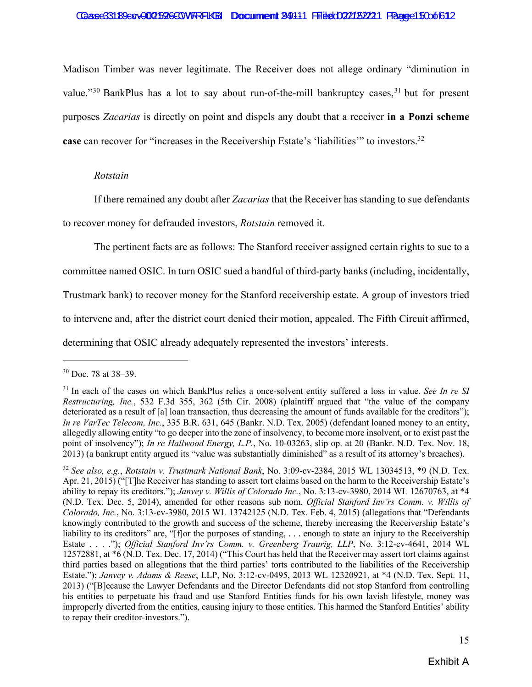#### Case33189evv002526COVFRFL'GH Document 24111 Ffiled 022132221 Fagge150ot 612

Madison Timber was never legitimate. The Receiver does not allege ordinary "diminution in value."<sup>30</sup> BankPlus has a lot to say about run-of-the-mill bankruptcy cases,  $31$  but for present purposes *Zacarias* is directly on point and dispels any doubt that a receiver **in a Ponzi scheme case** can recover for "increases in the Receivership Estate's 'liabilities'" to investors.<sup>32</sup>

#### *Rotstain*

If there remained any doubt after *Zacarias* that the Receiver has standing to sue defendants

to recover money for defrauded investors, *Rotstain* removed it.

The pertinent facts are as follows: The Stanford receiver assigned certain rights to sue to a

committee named OSIC. In turn OSIC sued a handful of third-party banks (including, incidentally,

Trustmark bank) to recover money for the Stanford receivership estate. A group of investors tried

to intervene and, after the district court denied their motion, appealed. The Fifth Circuit affirmed,

determining that OSIC already adequately represented the investors' interests.

<sup>30</sup> Doc. 78 at 38–39.

<sup>31</sup> In each of the cases on which BankPlus relies a once-solvent entity suffered a loss in value. *See In re SI Restructuring, Inc.*, 532 F.3d 355, 362 (5th Cir. 2008) (plaintiff argued that "the value of the company deteriorated as a result of [a] loan transaction, thus decreasing the amount of funds available for the creditors"); *In re VarTec Telecom, Inc.*, 335 B.R. 631, 645 (Bankr. N.D. Tex. 2005) (defendant loaned money to an entity, allegedly allowing entity "to go deeper into the zone of insolvency, to become more insolvent, or to exist past the point of insolvency"); *In re Hallwood Energy, L.P.*, No. 10-03263, slip op. at 20 (Bankr. N.D. Tex. Nov. 18, 2013) (a bankrupt entity argued its "value was substantially diminished" as a result of its attorney's breaches).

<sup>32</sup> *See also, e.g.*, *Rotstain v. Trustmark National Bank*, No. 3:09-cv-2384, 2015 WL 13034513, \*9 (N.D. Tex. Apr. 21, 2015) ("[T]he Receiver has standing to assert tort claims based on the harm to the Receivership Estate's ability to repay its creditors."); *Janvey v. Willis of Colorado Inc.*, No. 3:13-cv-3980, 2014 WL 12670763, at \*4 (N.D. Tex. Dec. 5, 2014), amended for other reasons sub nom. *Official Stanford Inv'rs Comm. v. Willis of Colorado, Inc.*, No. 3:13-cv-3980, 2015 WL 13742125 (N.D. Tex. Feb. 4, 2015) (allegations that "Defendants knowingly contributed to the growth and success of the scheme, thereby increasing the Receivership Estate's liability to its creditors" are, "[f]or the purposes of standing, ... enough to state an injury to the Receivership Estate . . . ."); *Official Stanford Inv'rs Comm. v. Greenberg Traurig, LLP*, No. 3:12-cv-4641, 2014 WL 12572881, at \*6 (N.D. Tex. Dec. 17, 2014) ("This Court has held that the Receiver may assert tort claims against third parties based on allegations that the third parties' torts contributed to the liabilities of the Receivership Estate."); *Janvey v. Adams & Reese*, LLP, No. 3:12-cv-0495, 2013 WL 12320921, at \*4 (N.D. Tex. Sept. 11, 2013) ("[B]ecause the Lawyer Defendants and the Director Defendants did not stop Stanford from controlling his entities to perpetuate his fraud and use Stanford Entities funds for his own lavish lifestyle, money was improperly diverted from the entities, causing injury to those entities. This harmed the Stanford Entities' ability to repay their creditor-investors.").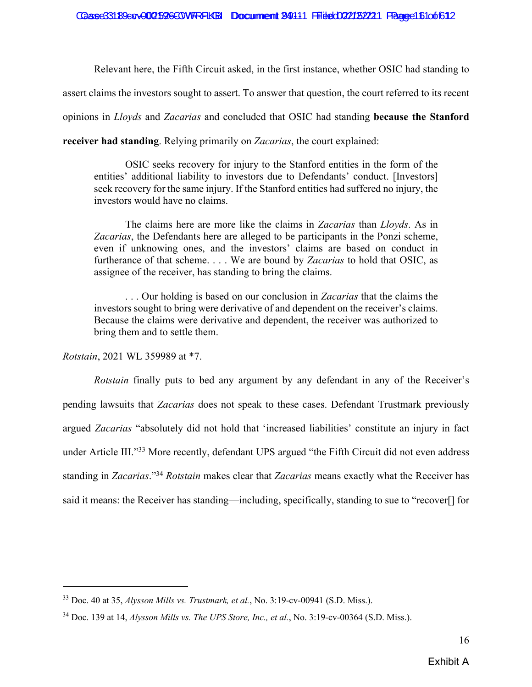Relevant here, the Fifth Circuit asked, in the first instance, whether OSIC had standing to

assert claims the investors sought to assert. To answer that question, the court referred to its recent

opinions in *Lloyds* and *Zacarias* and concluded that OSIC had standing **because the Stanford** 

**receiver had standing**. Relying primarily on *Zacarias*, the court explained:

OSIC seeks recovery for injury to the Stanford entities in the form of the entities' additional liability to investors due to Defendants' conduct. [Investors] seek recovery for the same injury. If the Stanford entities had suffered no injury, the investors would have no claims.

The claims here are more like the claims in *Zacarias* than *Lloyds*. As in *Zacarias*, the Defendants here are alleged to be participants in the Ponzi scheme, even if unknowing ones, and the investors' claims are based on conduct in furtherance of that scheme. . . . We are bound by *Zacarias* to hold that OSIC, as assignee of the receiver, has standing to bring the claims.

. . . Our holding is based on our conclusion in *Zacarias* that the claims the investors sought to bring were derivative of and dependent on the receiver's claims. Because the claims were derivative and dependent, the receiver was authorized to bring them and to settle them.

*Rotstain*, 2021 WL 359989 at \*7.

*Rotstain* finally puts to bed any argument by any defendant in any of the Receiver's pending lawsuits that *Zacarias* does not speak to these cases. Defendant Trustmark previously argued *Zacarias* "absolutely did not hold that 'increased liabilities' constitute an injury in fact under Article III."<sup>33</sup> More recently, defendant UPS argued "the Fifth Circuit did not even address standing in *Zacarias*."34 *Rotstain* makes clear that *Zacarias* means exactly what the Receiver has said it means: the Receiver has standing—including, specifically, standing to sue to "recover[] for

<sup>33</sup> Doc. 40 at 35, *Alysson Mills vs. Trustmark, et al.*, No. 3:19-cv-00941 (S.D. Miss.).

<sup>34</sup> Doc. 139 at 14, *Alysson Mills vs. The UPS Store, Inc., et al.*, No. 3:19-cv-00364 (S.D. Miss.).